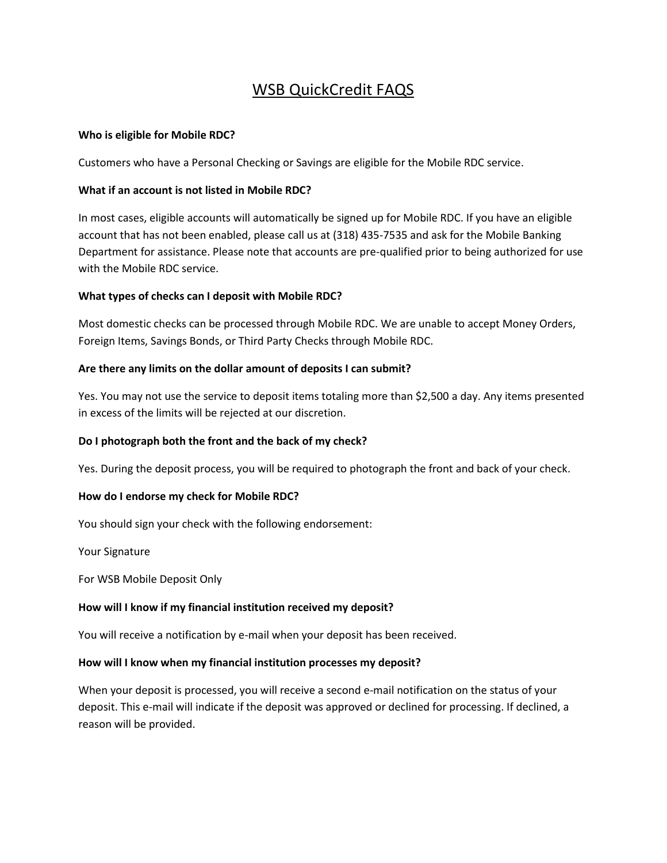# WSB QuickCredit FAQS

#### **Who is eligible for Mobile RDC?**

Customers who have a Personal Checking or Savings are eligible for the Mobile RDC service.

## **What if an account is not listed in Mobile RDC?**

In most cases, eligible accounts will automatically be signed up for Mobile RDC. If you have an eligible account that has not been enabled, please call us at (318) 435-7535 and ask for the Mobile Banking Department for assistance. Please note that accounts are pre-qualified prior to being authorized for use with the Mobile RDC service.

## **What types of checks can I deposit with Mobile RDC?**

Most domestic checks can be processed through Mobile RDC. We are unable to accept Money Orders, Foreign Items, Savings Bonds, or Third Party Checks through Mobile RDC.

## **Are there any limits on the dollar amount of deposits I can submit?**

Yes. You may not use the service to deposit items totaling more than \$2,500 a day. Any items presented in excess of the limits will be rejected at our discretion.

# **Do I photograph both the front and the back of my check?**

Yes. During the deposit process, you will be required to photograph the front and back of your check.

#### **How do I endorse my check for Mobile RDC?**

You should sign your check with the following endorsement:

Your Signature

For WSB Mobile Deposit Only

# **How will I know if my financial institution received my deposit?**

You will receive a notification by e-mail when your deposit has been received.

#### **How will I know when my financial institution processes my deposit?**

When your deposit is processed, you will receive a second e-mail notification on the status of your deposit. This e-mail will indicate if the deposit was approved or declined for processing. If declined, a reason will be provided.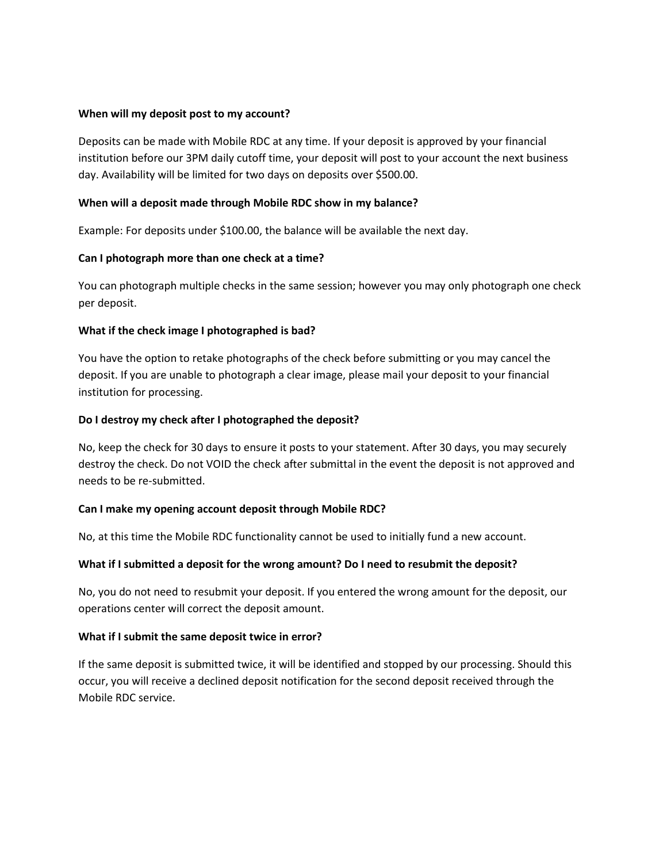#### **When will my deposit post to my account?**

Deposits can be made with Mobile RDC at any time. If your deposit is approved by your financial institution before our 3PM daily cutoff time, your deposit will post to your account the next business day. Availability will be limited for two days on deposits over \$500.00.

#### **When will a deposit made through Mobile RDC show in my balance?**

Example: For deposits under \$100.00, the balance will be available the next day.

#### **Can I photograph more than one check at a time?**

You can photograph multiple checks in the same session; however you may only photograph one check per deposit.

#### **What if the check image I photographed is bad?**

You have the option to retake photographs of the check before submitting or you may cancel the deposit. If you are unable to photograph a clear image, please mail your deposit to your financial institution for processing.

#### **Do I destroy my check after I photographed the deposit?**

No, keep the check for 30 days to ensure it posts to your statement. After 30 days, you may securely destroy the check. Do not VOID the check after submittal in the event the deposit is not approved and needs to be re-submitted.

#### **Can I make my opening account deposit through Mobile RDC?**

No, at this time the Mobile RDC functionality cannot be used to initially fund a new account.

#### **What if I submitted a deposit for the wrong amount? Do I need to resubmit the deposit?**

No, you do not need to resubmit your deposit. If you entered the wrong amount for the deposit, our operations center will correct the deposit amount.

#### **What if I submit the same deposit twice in error?**

If the same deposit is submitted twice, it will be identified and stopped by our processing. Should this occur, you will receive a declined deposit notification for the second deposit received through the Mobile RDC service.